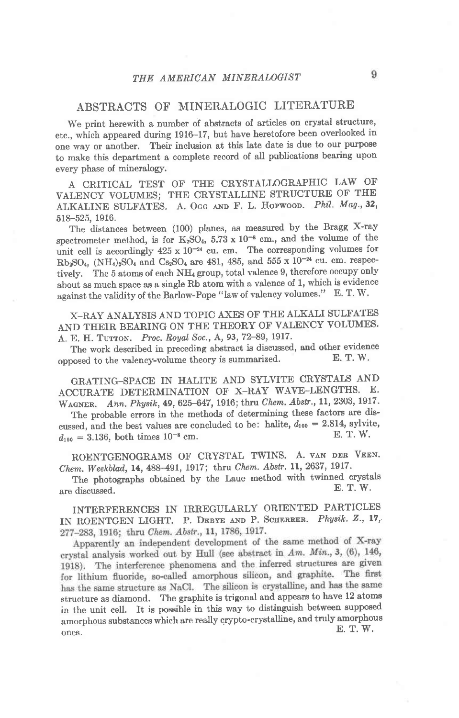## ABSTRACTS OF' MINERALOGIC LITERATURE

We print herewith a number of abstracts of articles on crystal structure, etc., which appeared during 1916-17, but have heretofore been overlooked in one way or another. Their inclusion at this Iate date is due to our purpose to make this department a complete record of all publications bearing upon every phase of mineralogy.

A CRITICAL TEST OF THE CRYSTALLOGRAPIIIC LAW OF VALENCY VOLUMES; THE CRYSTALLINE STRUCTURE OF THE ALKALINE SULFATES. A. OGG AND F. L. Hopwood. Phil. Mag., 32, 518-525, 1916.

The distances between (100) planes, as measured by the Bragg X-ray spectrometer method, is for  $K_2SO_4$ , 5.73 x 10<sup>-8</sup> cm., and the volume of the unit cell is accordingly  $425 \times 10^{-24}$  cu. cm. The corresponding volumes for  $Rb_2SO_4$ ,  $(NH_4)_2SO_4$  and  $Cs_2SO_4$  are 481, 485, and 555 x 10<sup>-24</sup> cu. cm. respectively. The 5 atoms of each NH<sub>4</sub> group, total valence 9, therefore occupy only about as much space as a single Rb atom with a valence of 1, which is evidence against the validity of the Barlow-Pope "law of valency volumes." E. T. W.

X\_RAY ANALYSIS AND TOPIC AXES OF THE ALKALI SULFATES AND THEIR BEARING ON THE THEORY OF VALENCY VOLUMES. A. E. H. TUTTON. Proc. Royal Soc., A, 93, 72-89, 1917.

The work described in preceding abstract is discussed, and other evidence  $\sum_{n=1}^{\infty}$  T. W. opposed to the valency-volume theory is summarized.

GRATING-SPACE IN HALITE AND SYLVITE CRYSTALS AND ACCURATE DETERMINATION OF X-RAY WAVE-LENGTHS. E. WAGNER. Ann. Physik, 49, 625-647, 1916; thru Chem. Abstr., 11, 2303, 1917.

The probable errors in the methods of determining these factors are discussed, and the best values are concluded to be: halite,  $d_{100} = 2.814$ , sylvite,  $d_{111} = 3.136$  both times  $10^{-8}$  cm E.T. W.  $d_{100} = 3.136$ , both times  $10^{-8}$  cm.

ROENTGENOGRAMS OF CRYSTAL TWINS. A. VAN DER VEEN. Chem. Weekblad, 14, 488-491, 1917; thru Chem. Abstr. 11, 2637, 1917.

The photographs obtained by the Laue method with twinned crystals  $E. T. W.$ are discussed.

INTERFERENCES IN IRREGULARLY ORIENTED PARTICLES IN ROENTGEN LIGHT. P. DEBYE AND P. SCHERRER. Physik. Z., 17, 277-283, 1916; thru Chem. Abstr., 11, 1786, 1917.

Apparently an independent development of the same method of X-ray crystal analysis worked out by Hull (see abstract in Am. Min., 3, (6), 146, 1918). The interference phenomena and the inferred structures are given for lithium fluoride, so-called amorphous silicon, and graphite. The first has the same structure as NaCl. The silicon is crystalline, and has the same structure as diamond. The graphite is trigonal and appears to have 12 atoms in the unit cell. It is possible in this way to distinguish between supposed amorphous substances which are really crypto-crystalline, and truly amorphous ones. E. T. W